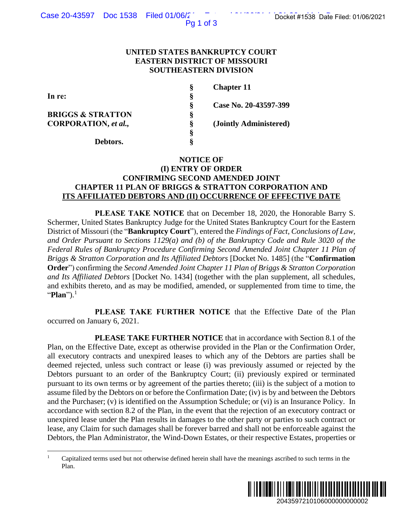Pg 1 of 3

## **UNITED STATES BANKRUPTCY COURT EASTERN DISTRICT OF MISSOURI SOUTHEASTERN DIVISION**

|                              | ş | <b>Chapter 11</b>      |
|------------------------------|---|------------------------|
| In re:                       | ş |                        |
|                              | Ş | Case No. 20-43597-399  |
| <b>BRIGGS &amp; STRATTON</b> | ş |                        |
| <b>CORPORATION</b> , et al., | Ş | (Jointly Administered) |
|                              | ş |                        |
| Debtors.                     | 9 |                        |

## **NOTICE OF (I) ENTRY OF ORDER CONFIRMING SECOND AMENDED JOINT CHAPTER 11 PLAN OF BRIGGS & STRATTON CORPORATION AND ITS AFFILIATED DEBTORS AND (II) OCCURRENCE OF EFFECTIVE DATE**

**PLEASE TAKE NOTICE** that on December 18, 2020, the Honorable Barry S. Schermer, United States Bankruptcy Judge for the United States Bankruptcy Court for the Eastern District of Missouri (the "**Bankruptcy Court**"), entered the *Findings of Fact, Conclusions of Law, and Order Pursuant to Sections 1129(a) and (b) of the Bankruptcy Code and Rule 3020 of the Federal Rules of Bankruptcy Procedure Confirming Second Amended Joint Chapter 11 Plan of Briggs & Stratton Corporation and Its Affiliated Debtors* [Docket No. 1485] (the "**Confirmation Order**") confirming the *Second Amended Joint Chapter 11 Plan of Briggs & Stratton Corporation and Its Affiliated Debtors* [Docket No. 1434] (together with the plan supplement, all schedules, and exhibits thereto, and as may be modified, amended, or supplemented from time to time, the "**Plan**").<sup>1</sup>

**PLEASE TAKE FURTHER NOTICE** that the Effective Date of the Plan occurred on January 6, 2021.

**PLEASE TAKE FURTHER NOTICE** that in accordance with Section 8.1 of the Plan, on the Effective Date, except as otherwise provided in the Plan or the Confirmation Order, all executory contracts and unexpired leases to which any of the Debtors are parties shall be deemed rejected, unless such contract or lease (i) was previously assumed or rejected by the Debtors pursuant to an order of the Bankruptcy Court; (ii) previously expired or terminated pursuant to its own terms or by agreement of the parties thereto; (iii) is the subject of a motion to assume filed by the Debtors on or before the Confirmation Date; (iv) is by and between the Debtors and the Purchaser; (v) is identified on the Assumption Schedule; or (vi) is an Insurance Policy. In accordance with section 8.2 of the Plan, in the event that the rejection of an executory contract or unexpired lease under the Plan results in damages to the other party or parties to such contract or lease, any Claim for such damages shall be forever barred and shall not be enforceable against the Debtors, the Plan Administrator, the Wind-Down Estates, or their respective Estates, properties or 2043597210106000000000002 Docket #1538 Date Filed: 01/06/2021

<sup>1</sup> Capitalized terms used but not otherwise defined herein shall have the meanings ascribed to such terms in the Plan.

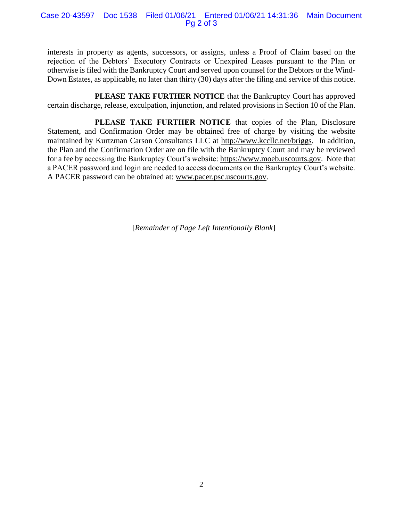Case 20-43597 Doc 1538 Filed 01/06/21 Entered 01/06/21 14:31:36 Main Document Pg 2 of 3

interests in property as agents, successors, or assigns, unless a Proof of Claim based on the rejection of the Debtors' Executory Contracts or Unexpired Leases pursuant to the Plan or otherwise is filed with the Bankruptcy Court and served upon counsel for the Debtors or the Wind-Down Estates, as applicable, no later than thirty (30) days after the filing and service of this notice.

**PLEASE TAKE FURTHER NOTICE** that the Bankruptcy Court has approved certain discharge, release, exculpation, injunction, and related provisions in Section 10 of the Plan.

PLEASE TAKE FURTHER NOTICE that copies of the Plan, Disclosure Statement, and Confirmation Order may be obtained free of charge by visiting the website maintained by Kurtzman Carson Consultants LLC at http://www.kccllc.net/briggs. In addition, the Plan and the Confirmation Order are on file with the Bankruptcy Court and may be reviewed for a fee by accessing the Bankruptcy Court's website: https://www.moeb.uscourts.gov. Note that a PACER password and login are needed to access documents on the Bankruptcy Court's website. A PACER password can be obtained at: www.pacer.psc.uscourts.gov.

[*Remainder of Page Left Intentionally Blank*]